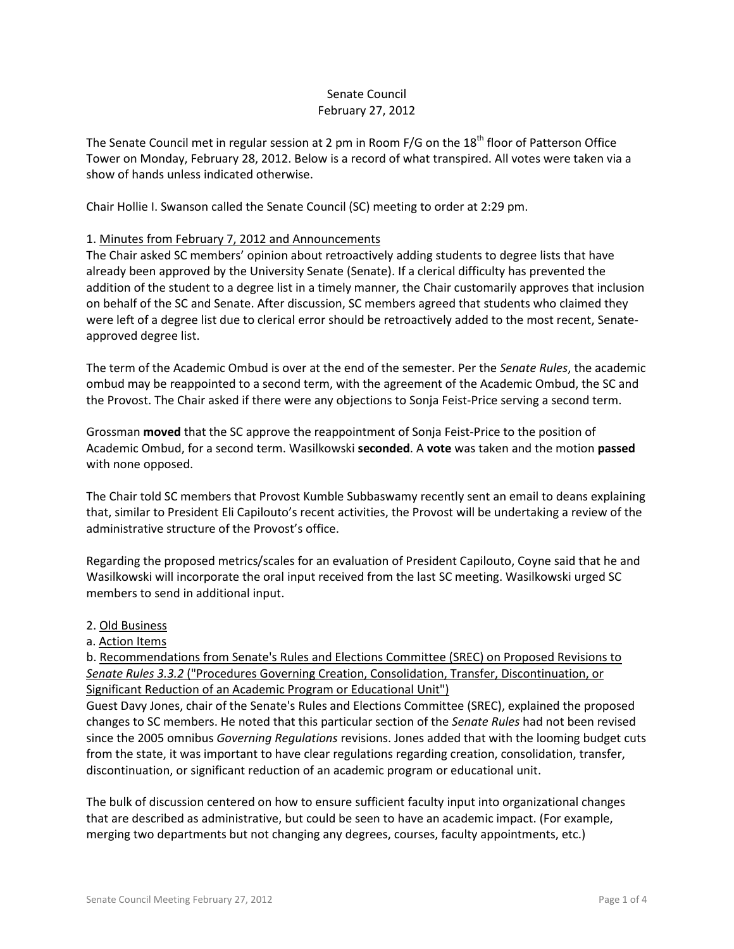# Senate Council February 27, 2012

The Senate Council met in regular session at 2 pm in Room F/G on the 18<sup>th</sup> floor of Patterson Office Tower on Monday, February 28, 2012. Below is a record of what transpired. All votes were taken via a show of hands unless indicated otherwise.

Chair Hollie I. Swanson called the Senate Council (SC) meeting to order at 2:29 pm.

## 1. Minutes from February 7, 2012 and Announcements

The Chair asked SC members' opinion about retroactively adding students to degree lists that have already been approved by the University Senate (Senate). If a clerical difficulty has prevented the addition of the student to a degree list in a timely manner, the Chair customarily approves that inclusion on behalf of the SC and Senate. After discussion, SC members agreed that students who claimed they were left of a degree list due to clerical error should be retroactively added to the most recent, Senateapproved degree list.

The term of the Academic Ombud is over at the end of the semester. Per the *Senate Rules*, the academic ombud may be reappointed to a second term, with the agreement of the Academic Ombud, the SC and the Provost. The Chair asked if there were any objections to Sonja Feist-Price serving a second term.

Grossman **moved** that the SC approve the reappointment of Sonja Feist-Price to the position of Academic Ombud, for a second term. Wasilkowski **seconded**. A **vote** was taken and the motion **passed** with none opposed.

The Chair told SC members that Provost Kumble Subbaswamy recently sent an email to deans explaining that, similar to President Eli Capilouto's recent activities, the Provost will be undertaking a review of the administrative structure of the Provost's office.

Regarding the proposed metrics/scales for an evaluation of President Capilouto, Coyne said that he and Wasilkowski will incorporate the oral input received from the last SC meeting. Wasilkowski urged SC members to send in additional input.

#### 2. Old Business

#### a. Action Items

b. Recommendations from Senate's Rules and Elections Committee (SREC) on Proposed Revisions to *Senate Rules 3.3.2* ("Procedures Governing Creation, Consolidation, Transfer, Discontinuation, or Significant Reduction of an Academic Program or Educational Unit")

Guest Davy Jones, chair of the Senate's Rules and Elections Committee (SREC), explained the proposed changes to SC members. He noted that this particular section of the *Senate Rules* had not been revised since the 2005 omnibus *Governing Regulations* revisions. Jones added that with the looming budget cuts from the state, it was important to have clear regulations regarding creation, consolidation, transfer, discontinuation, or significant reduction of an academic program or educational unit.

The bulk of discussion centered on how to ensure sufficient faculty input into organizational changes that are described as administrative, but could be seen to have an academic impact. (For example, merging two departments but not changing any degrees, courses, faculty appointments, etc.)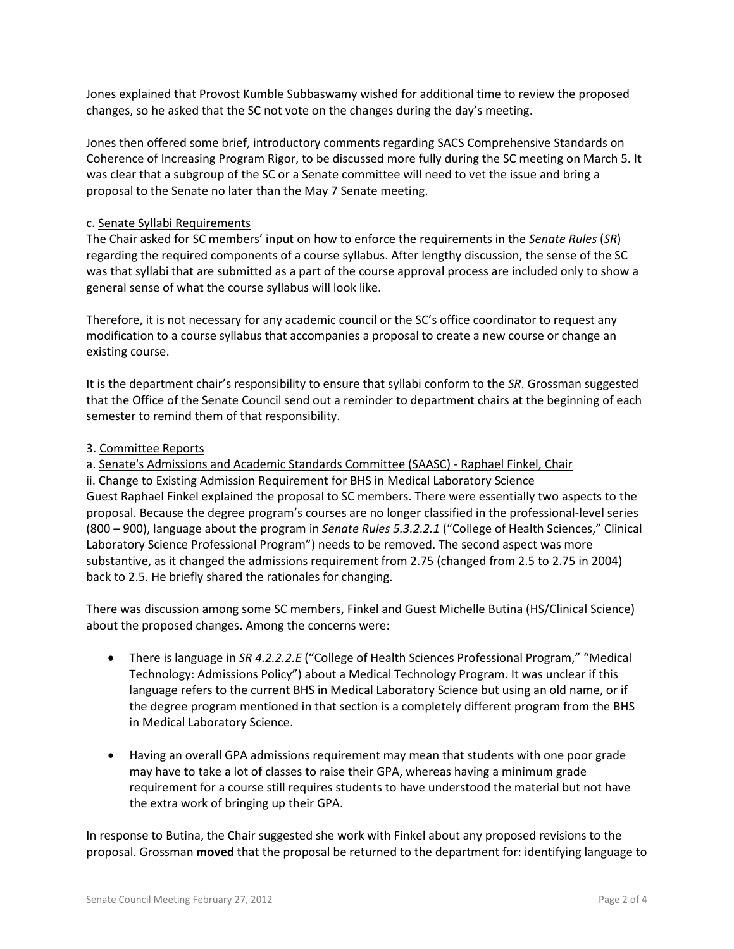Jones explained that Provost Kumble Subbaswamy wished for additional time to review the proposed changes, so he asked that the SC not vote on the changes during the day's meeting.

Jones then offered some brief, introductory comments regarding SACS Comprehensive Standards on Coherence of Increasing Program Rigor, to be discussed more fully during the SC meeting on March 5. It was clear that a subgroup of the SC or a Senate committee will need to vet the issue and bring a proposal to the Senate no later than the May 7 Senate meeting.

### c. Senate Syllabi Requirements

The Chair asked for SC members' input on how to enforce the requirements in the *Senate Rules* (*SR*) regarding the required components of a course syllabus. After lengthy discussion, the sense of the SC was that syllabi that are submitted as a part of the course approval process are included only to show a general sense of what the course syllabus will look like.

Therefore, it is not necessary for any academic council or the SC's office coordinator to request any modification to a course syllabus that accompanies a proposal to create a new course or change an existing course.

It is the department chair's responsibility to ensure that syllabi conform to the *SR*. Grossman suggested that the Office of the Senate Council send out a reminder to department chairs at the beginning of each semester to remind them of that responsibility.

### 3. Committee Reports

a. Senate's Admissions and Academic Standards Committee (SAASC) - Raphael Finkel, Chair

ii. Change to Existing Admission Requirement for BHS in Medical Laboratory Science

Guest Raphael Finkel explained the proposal to SC members. There were essentially two aspects to the proposal. Because the degree program's courses are no longer classified in the professional-level series (800 – 900), language about the program in *Senate Rules 5.3.2.2.1* ("College of Health Sciences," Clinical Laboratory Science Professional Program") needs to be removed. The second aspect was more substantive, as it changed the admissions requirement from 2.75 (changed from 2.5 to 2.75 in 2004) back to 2.5. He briefly shared the rationales for changing.

There was discussion among some SC members, Finkel and Guest Michelle Butina (HS/Clinical Science) about the proposed changes. Among the concerns were:

- There is language in *SR 4.2.2.2.E* ("College of Health Sciences Professional Program," "Medical Technology: Admissions Policy") about a Medical Technology Program. It was unclear if this language refers to the current BHS in Medical Laboratory Science but using an old name, or if the degree program mentioned in that section is a completely different program from the BHS in Medical Laboratory Science.
- Having an overall GPA admissions requirement may mean that students with one poor grade may have to take a lot of classes to raise their GPA, whereas having a minimum grade requirement for a course still requires students to have understood the material but not have the extra work of bringing up their GPA.

In response to Butina, the Chair suggested she work with Finkel about any proposed revisions to the proposal. Grossman **moved** that the proposal be returned to the department for: identifying language to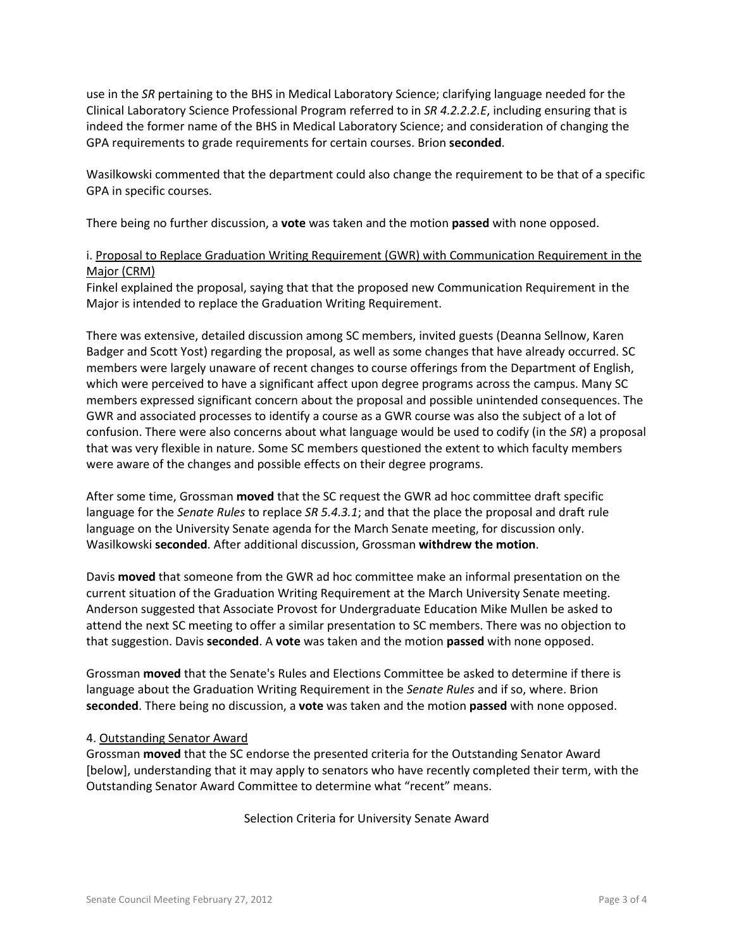use in the *SR* pertaining to the BHS in Medical Laboratory Science; clarifying language needed for the Clinical Laboratory Science Professional Program referred to in *SR 4.2.2.2.E*, including ensuring that is indeed the former name of the BHS in Medical Laboratory Science; and consideration of changing the GPA requirements to grade requirements for certain courses. Brion **seconded**.

Wasilkowski commented that the department could also change the requirement to be that of a specific GPA in specific courses.

There being no further discussion, a **vote** was taken and the motion **passed** with none opposed.

# i. Proposal to Replace Graduation Writing Requirement (GWR) with Communication Requirement in the Major (CRM)

Finkel explained the proposal, saying that that the proposed new Communication Requirement in the Major is intended to replace the Graduation Writing Requirement.

There was extensive, detailed discussion among SC members, invited guests (Deanna Sellnow, Karen Badger and Scott Yost) regarding the proposal, as well as some changes that have already occurred. SC members were largely unaware of recent changes to course offerings from the Department of English, which were perceived to have a significant affect upon degree programs across the campus. Many SC members expressed significant concern about the proposal and possible unintended consequences. The GWR and associated processes to identify a course as a GWR course was also the subject of a lot of confusion. There were also concerns about what language would be used to codify (in the *SR*) a proposal that was very flexible in nature. Some SC members questioned the extent to which faculty members were aware of the changes and possible effects on their degree programs.

After some time, Grossman **moved** that the SC request the GWR ad hoc committee draft specific language for the *Senate Rules* to replace *SR 5.4.3.1*; and that the place the proposal and draft rule language on the University Senate agenda for the March Senate meeting, for discussion only. Wasilkowski **seconded**. After additional discussion, Grossman **withdrew the motion**.

Davis **moved** that someone from the GWR ad hoc committee make an informal presentation on the current situation of the Graduation Writing Requirement at the March University Senate meeting. Anderson suggested that Associate Provost for Undergraduate Education Mike Mullen be asked to attend the next SC meeting to offer a similar presentation to SC members. There was no objection to that suggestion. Davis **seconded**. A **vote** was taken and the motion **passed** with none opposed.

Grossman **moved** that the Senate's Rules and Elections Committee be asked to determine if there is language about the Graduation Writing Requirement in the *Senate Rules* and if so, where. Brion **seconded**. There being no discussion, a **vote** was taken and the motion **passed** with none opposed.

## 4. Outstanding Senator Award

Grossman **moved** that the SC endorse the presented criteria for the Outstanding Senator Award [below], understanding that it may apply to senators who have recently completed their term, with the Outstanding Senator Award Committee to determine what "recent" means.

Selection Criteria for University Senate Award